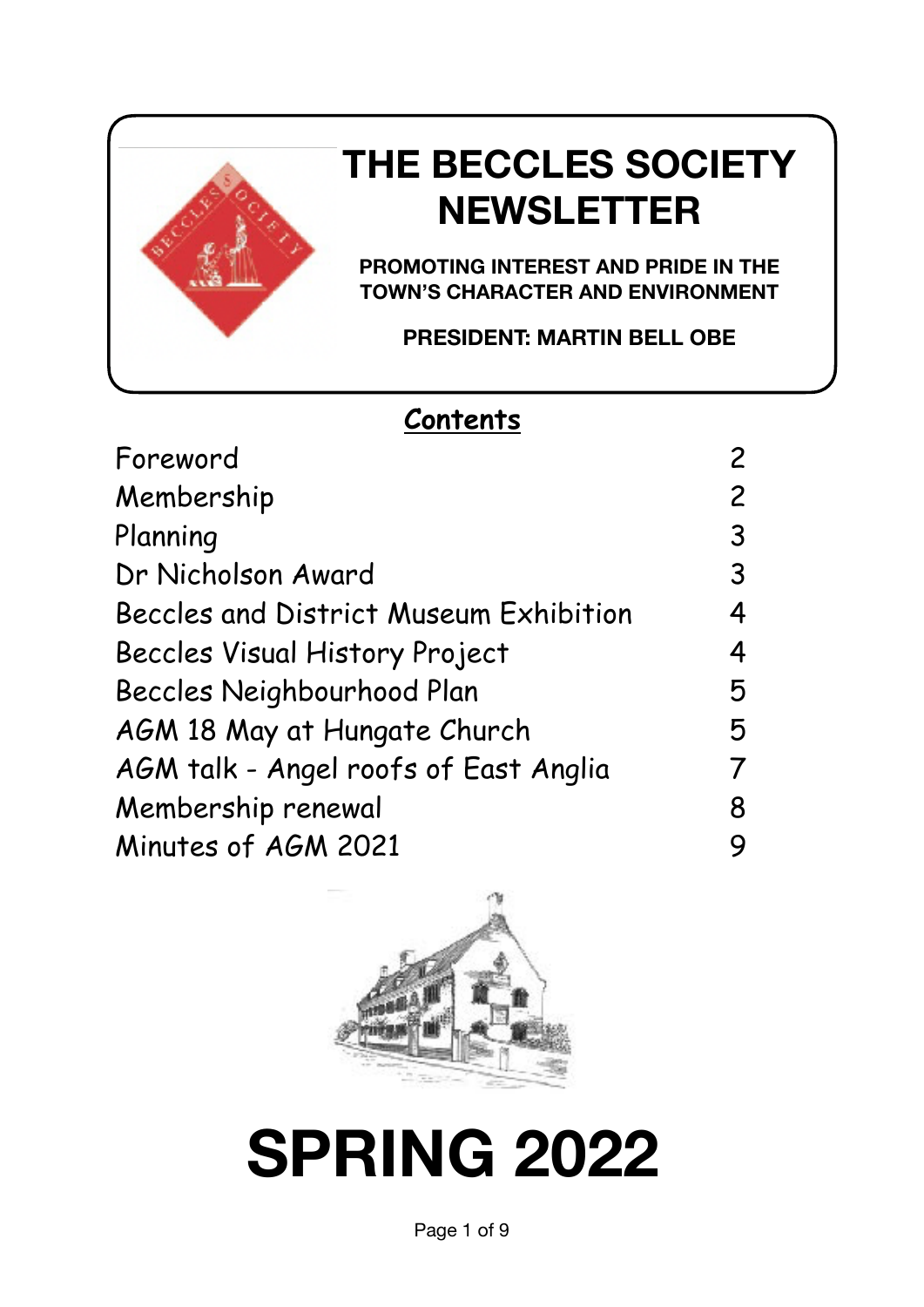

# **THE BECCLES SOCIETY NEWSLETTER**

**PROMOTING INTEREST AND PRIDE IN THE TOWN'S CHARACTER AND ENVIRONMENT** 

**PRESIDENT: MARTIN BELL OBE**

### **Contents**

| Foreword                               | 2 |
|----------------------------------------|---|
| Membership                             | 2 |
| Planning                               | 3 |
| Dr Nicholson Award                     | 3 |
| Beccles and District Museum Exhibition | 4 |
| Beccles Visual History Project         | 4 |
| Beccles Neighbourhood Plan             | 5 |
| AGM 18 May at Hungate Church           | 5 |
| AGM talk - Angel roofs of East Anglia  | 7 |
| Membership renewal                     | 8 |
| Minutes of AGM 2021                    | 9 |
|                                        |   |



# **SPRING 2022**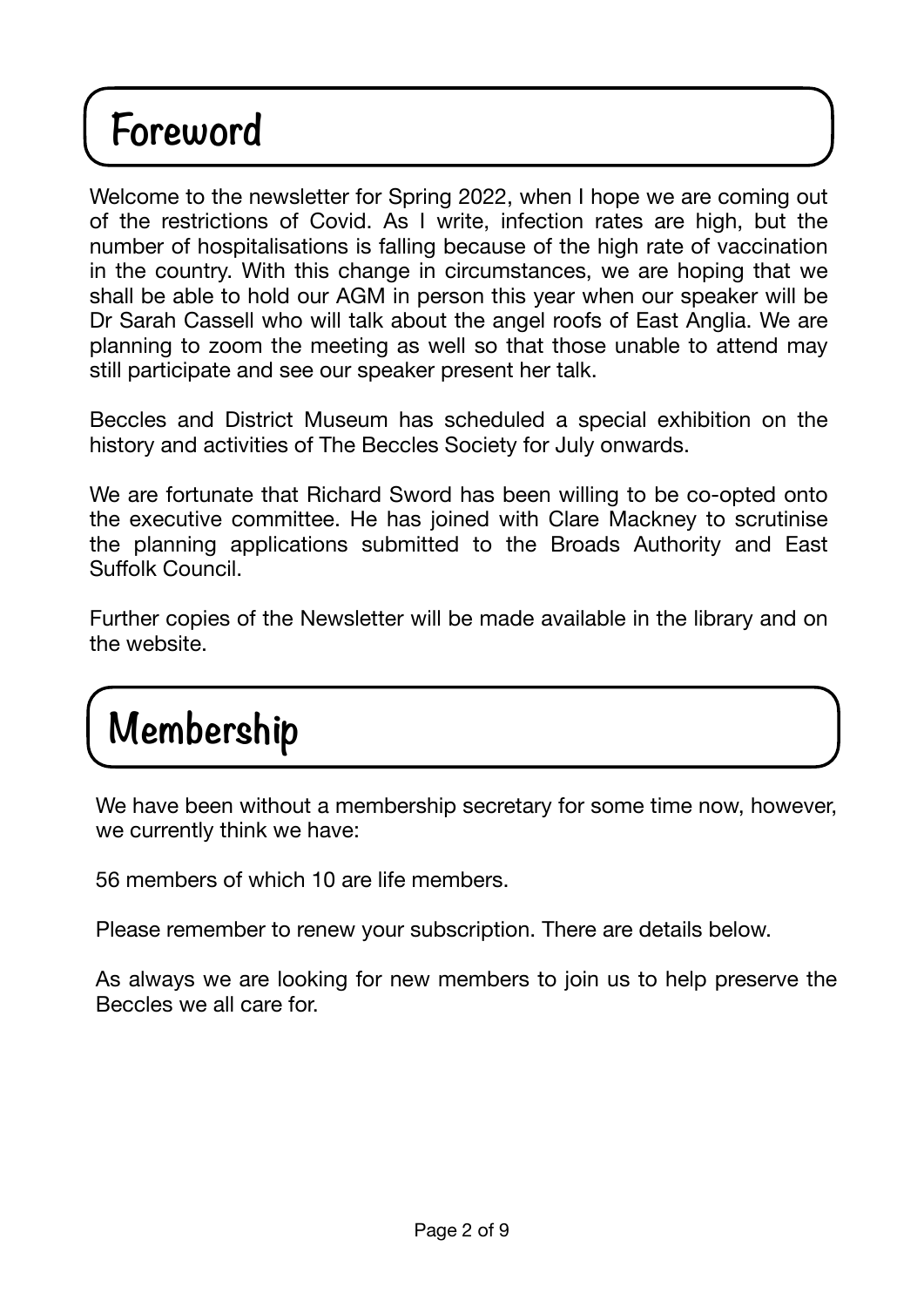# **Foreword**

Welcome to the newsletter for Spring 2022, when I hope we are coming out of the restrictions of Covid. As I write, infection rates are high, but the number of hospitalisations is falling because of the high rate of vaccination in the country. With this change in circumstances, we are hoping that we shall be able to hold our AGM in person this year when our speaker will be Dr Sarah Cassell who will talk about the angel roofs of East Anglia. We are planning to zoom the meeting as well so that those unable to attend may still participate and see our speaker present her talk.

Beccles and District Museum has scheduled a special exhibition on the history and activities of The Beccles Society for July onwards.

We are fortunate that Richard Sword has been willing to be co-opted onto the executive committee. He has joined with Clare Mackney to scrutinise the planning applications submitted to the Broads Authority and East Suffolk Council.

Further copies of the Newsletter will be made available in the library and on the website.

# **Membership**

We have been without a membership secretary for some time now, however, we currently think we have:

56 members of which 10 are life members.

Please remember to renew your subscription. There are details below.

As always we are looking for new members to join us to help preserve the Beccles we all care for.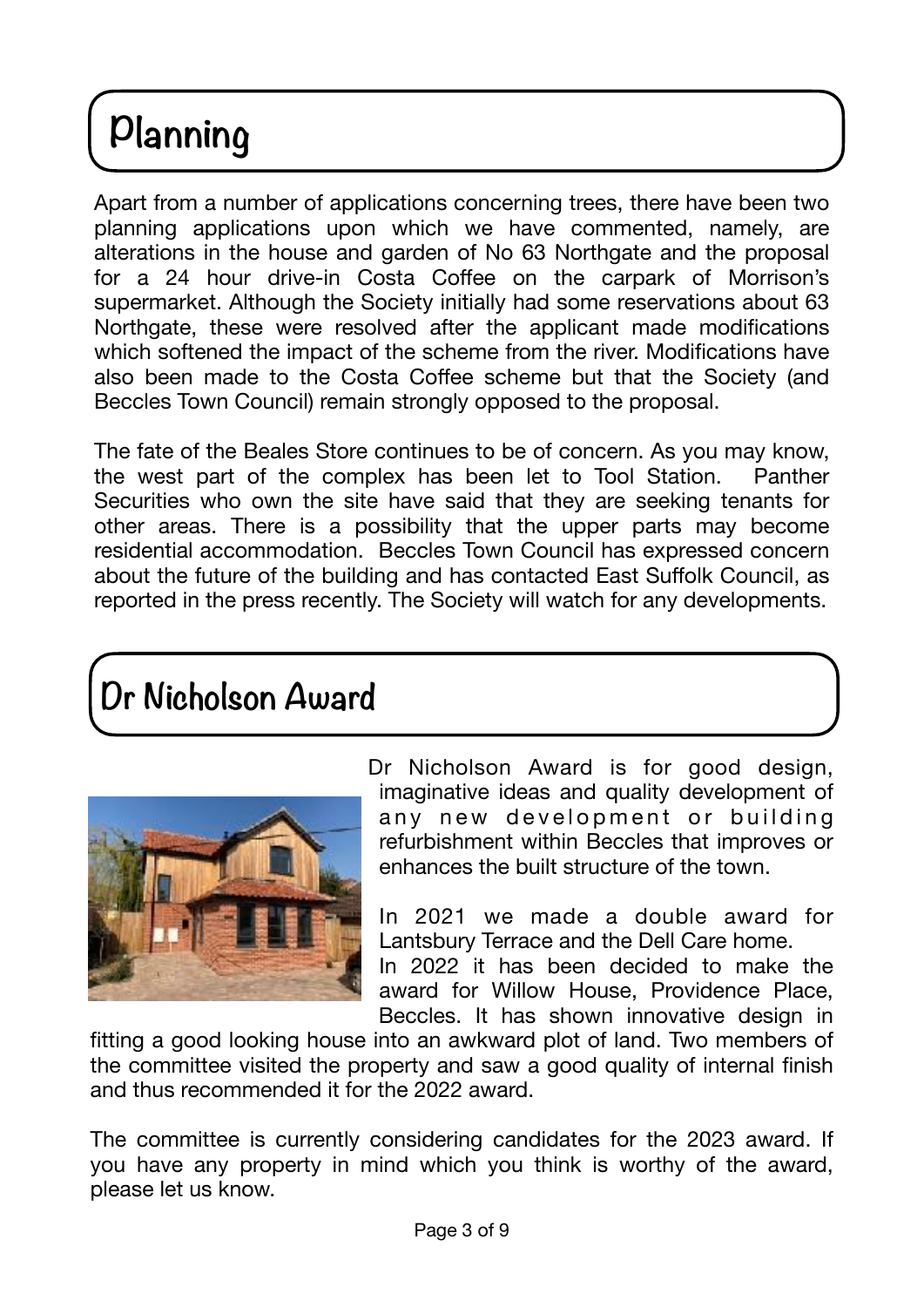# **Planning**

Apart from a number of applications concerning trees, there have been two planning applications upon which we have commented, namely, are alterations in the house and garden of No 63 Northgate and the proposal for a 24 hour drive-in Costa Coffee on the carpark of Morrison's supermarket. Although the Society initially had some reservations about 63 Northgate, these were resolved after the applicant made modifications which softened the impact of the scheme from the river. Modifications have also been made to the Costa Coffee scheme but that the Society (and Beccles Town Council) remain strongly opposed to the proposal.

The fate of the Beales Store continues to be of concern. As you may know, the west part of the complex has been let to Tool Station. Panther Securities who own the site have said that they are seeking tenants for other areas. There is a possibility that the upper parts may become residential accommodation. Beccles Town Council has expressed concern about the future of the building and has contacted East Suffolk Council, as reported in the press recently. The Society will watch for any developments.

## **Dr Nicholson Award**



Dr Nicholson Award is for good design, imaginative ideas and quality development of any new development or building refurbishment within Beccles that improves or enhances the built structure of the town.

In 2021 we made a double award for Lantsbury Terrace and the Dell Care home. In 2022 it has been decided to make the award for Willow House, Providence Place,

Beccles. It has shown innovative design in fitting a good looking house into an awkward plot of land. Two members of the committee visited the property and saw a good quality of internal finish and thus recommended it for the 2022 award.

The committee is currently considering candidates for the 2023 award. If you have any property in mind which you think is worthy of the award, please let us know.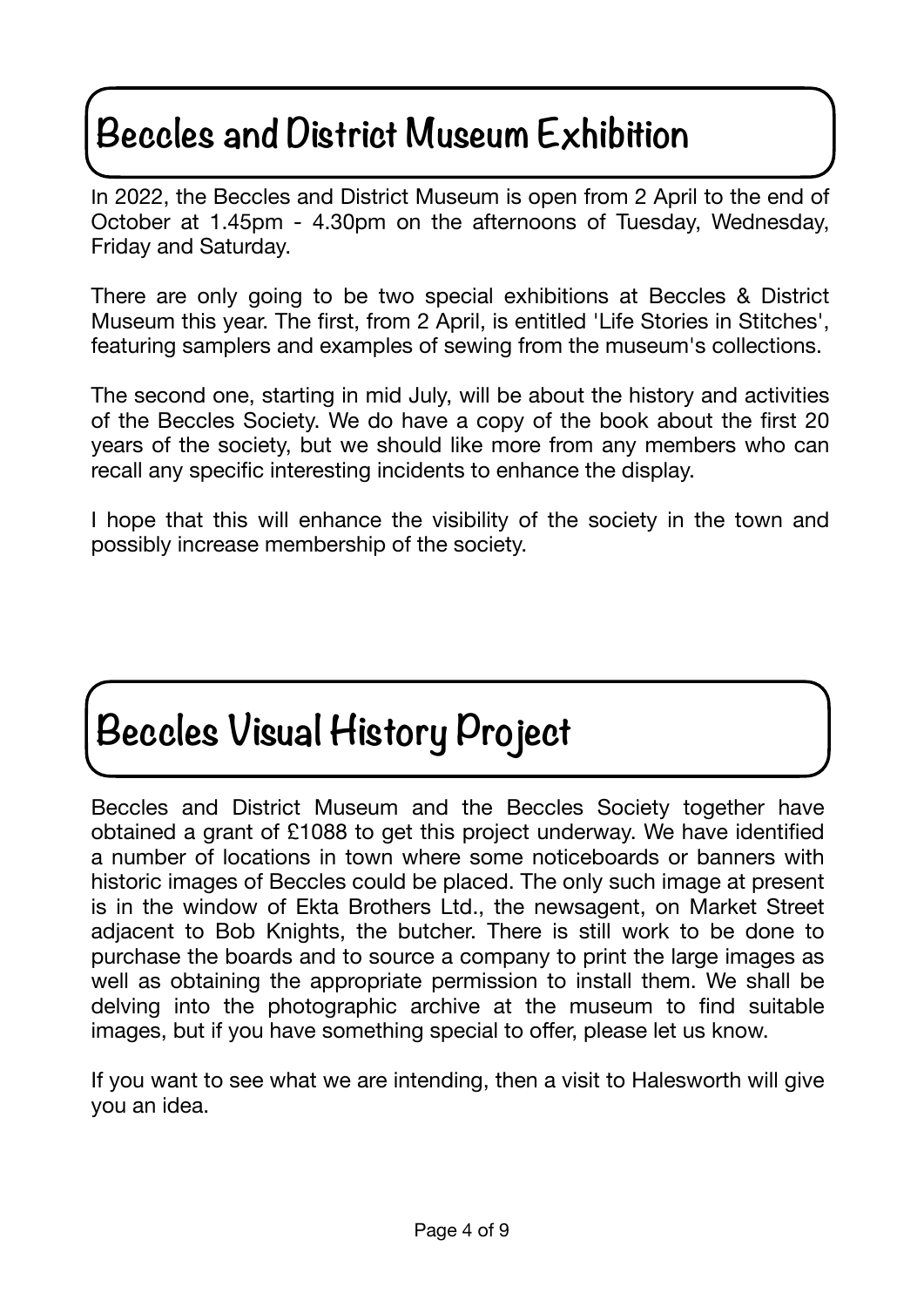# **Beccles and District Museum Exhibition**

In 2022, the Beccles and District Museum is open from 2 April to the end of October at 1.45pm - 4.30pm on the afternoons of Tuesday, Wednesday, Friday and Saturday.

There are only going to be two special exhibitions at Beccles & District Museum this year. The first, from 2 April, is entitled 'Life Stories in Stitches', featuring samplers and examples of sewing from the museum's collections.

The second one, starting in mid July, will be about the history and activities of the Beccles Society. We do have a copy of the book about the first 20 years of the society, but we should like more from any members who can recall any specific interesting incidents to enhance the display.

I hope that this will enhance the visibility of the society in the town and possibly increase membership of the society.

# **Beccles Visual History Project**

Beccles and District Museum and the Beccles Society together have obtained a grant of £1088 to get this project underway. We have identified a number of locations in town where some noticeboards or banners with historic images of Beccles could be placed. The only such image at present is in the window of Ekta Brothers Ltd., the newsagent, on Market Street adjacent to Bob Knights, the butcher. There is still work to be done to purchase the boards and to source a company to print the large images as well as obtaining the appropriate permission to install them. We shall be delving into the photographic archive at the museum to find suitable images, but if you have something special to offer, please let us know.

If you want to see what we are intending, then a visit to Halesworth will give you an idea.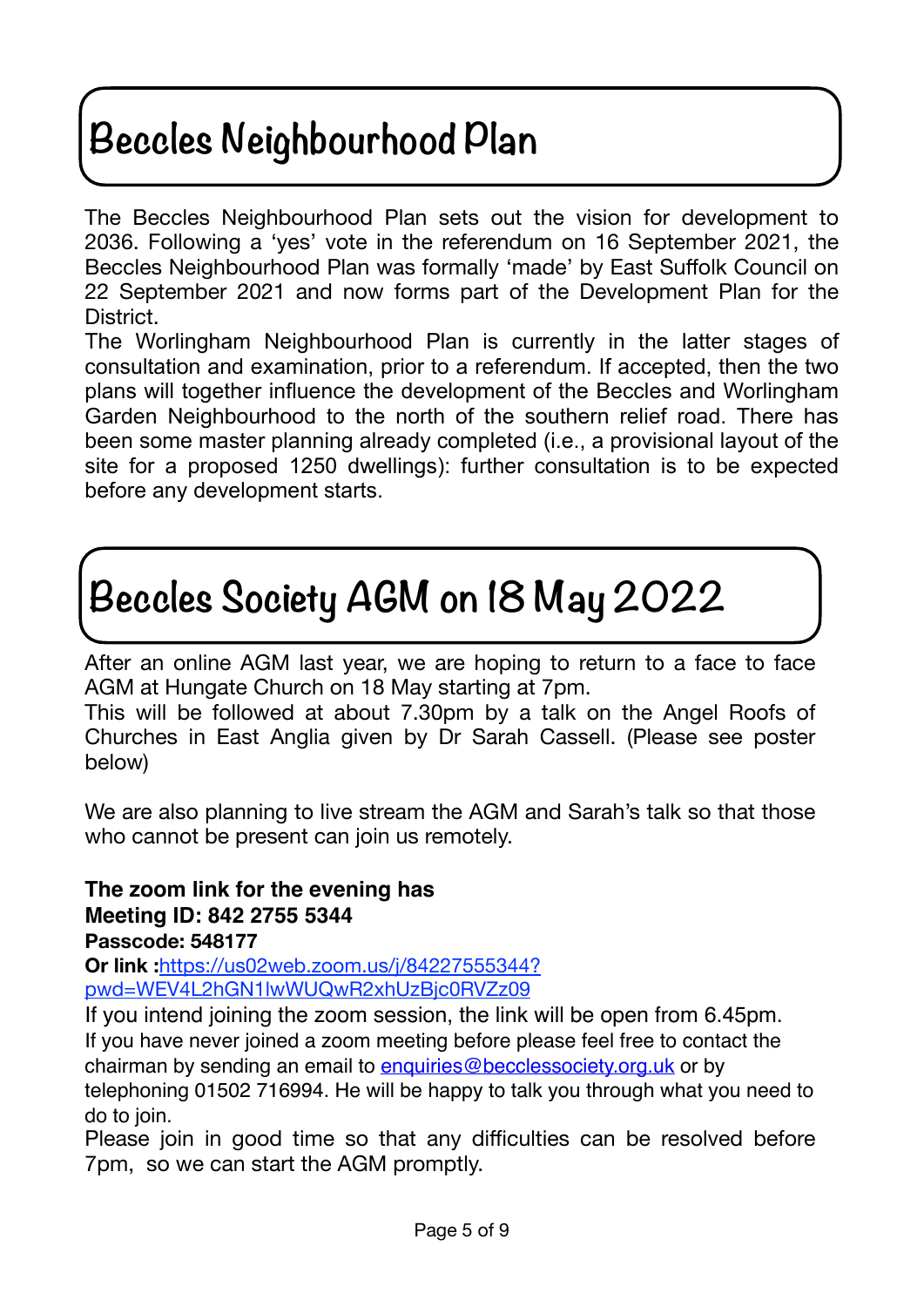# **Beccles Neighbourhood Plan**

The Beccles Neighbourhood Plan sets out the vision for development to 2036. Following a 'yes' vote in the referendum on 16 September 2021, the Beccles Neighbourhood Plan was formally 'made' by East Suffolk Council on 22 September 2021 and now forms part of the Development Plan for the District.

The Worlingham Neighbourhood Plan is currently in the latter stages of consultation and examination, prior to a referendum. If accepted, then the two plans will together influence the development of the Beccles and Worlingham Garden Neighbourhood to the north of the southern relief road. There has been some master planning already completed (i.e., a provisional layout of the site for a proposed 1250 dwellings): further consultation is to be expected before any development starts.

# **Beccles Society AGM on 18 May 2022**

After an online AGM last year, we are hoping to return to a face to face AGM at Hungate Church on 18 May starting at 7pm.

This will be followed at about 7.30pm by a talk on the Angel Roofs of Churches in East Anglia given by Dr Sarah Cassell. (Please see poster below)

We are also planning to live stream the AGM and Sarah's talk so that those who cannot be present can join us remotely.

### **The zoom link for the evening has Meeting ID: 842 2755 5344 Passcode: 548177**

**Or link :**[https://us02web.zoom.us/j/84227555344?](https://us02web.zoom.us/j/84227555344?pwd=WEV4L2hGN1lwWUQwR2xhUzBjc0RVZz09) [pwd=WEV4L2hGN1lwWUQwR2xhUzBjc0RVZz09](https://us02web.zoom.us/j/84227555344?pwd=WEV4L2hGN1lwWUQwR2xhUzBjc0RVZz09)

If you intend joining the zoom session, the link will be open from 6.45pm. If you have never joined a zoom meeting before please feel free to contact the chairman by sending an email to [enquiries@becclessociety.org.uk](mailto:enquiries@becclessociety.org.uk) or by telephoning 01502 716994. He will be happy to talk you through what you need to do to join.

Please join in good time so that any difficulties can be resolved before 7pm, so we can start the AGM promptly.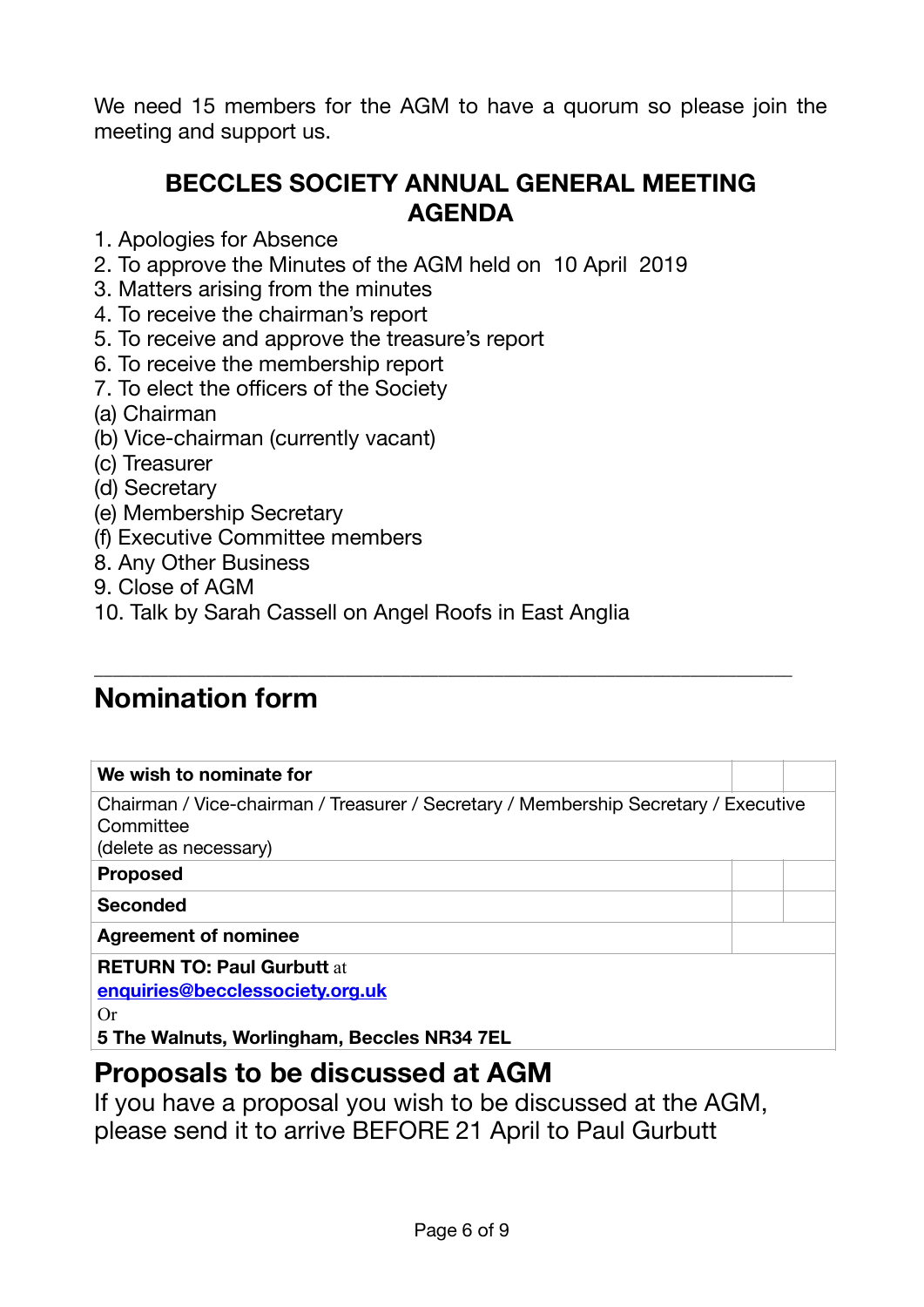We need 15 members for the AGM to have a quorum so please join the meeting and support us.

### **BECCLES SOCIETY ANNUAL GENERAL MEETING AGENDA**

- 1. Apologies for Absence
- 2. To approve the Minutes of the AGM held on 10 April 2019
- 3. Matters arising from the minutes
- 4. To receive the chairman's report
- 5. To receive and approve the treasure's report
- 6. To receive the membership report
- 7. To elect the officers of the Society
- (a) Chairman
- (b) Vice-chairman (currently vacant)
- (c) Treasurer
- (d) Secretary
- (e) Membership Secretary
- (f) Executive Committee members
- 8. Any Other Business
- 9. Close of AGM
- 10. Talk by Sarah Cassell on Angel Roofs in East Anglia

### **Nomination form**

### **We wish to nominate for**

Chairman / Vice-chairman / Treasurer / Secretary / Membership Secretary / Executive **Committee** (delete as necessary) **Proposed Seconded Agreement of nominee RETURN TO: Paul Gurbutt** at **[enquiries@becclessociety.org.uk](mailto:enquiries@becclessociety.org.uk)** Or **5 The Walnuts, Worlingham, Beccles NR34 7EL**

\_\_\_\_\_\_\_\_\_\_\_\_\_\_\_\_\_\_\_\_\_\_\_\_\_\_\_\_\_\_\_\_\_\_\_\_\_\_\_\_\_\_\_\_\_\_\_\_\_\_\_\_\_\_\_\_\_\_\_\_\_\_\_\_\_\_\_\_\_\_\_\_\_\_\_

### **Proposals to be discussed at AGM**

If you have a proposal you wish to be discussed at the AGM, please send it to arrive BEFORE 21 April to Paul Gurbutt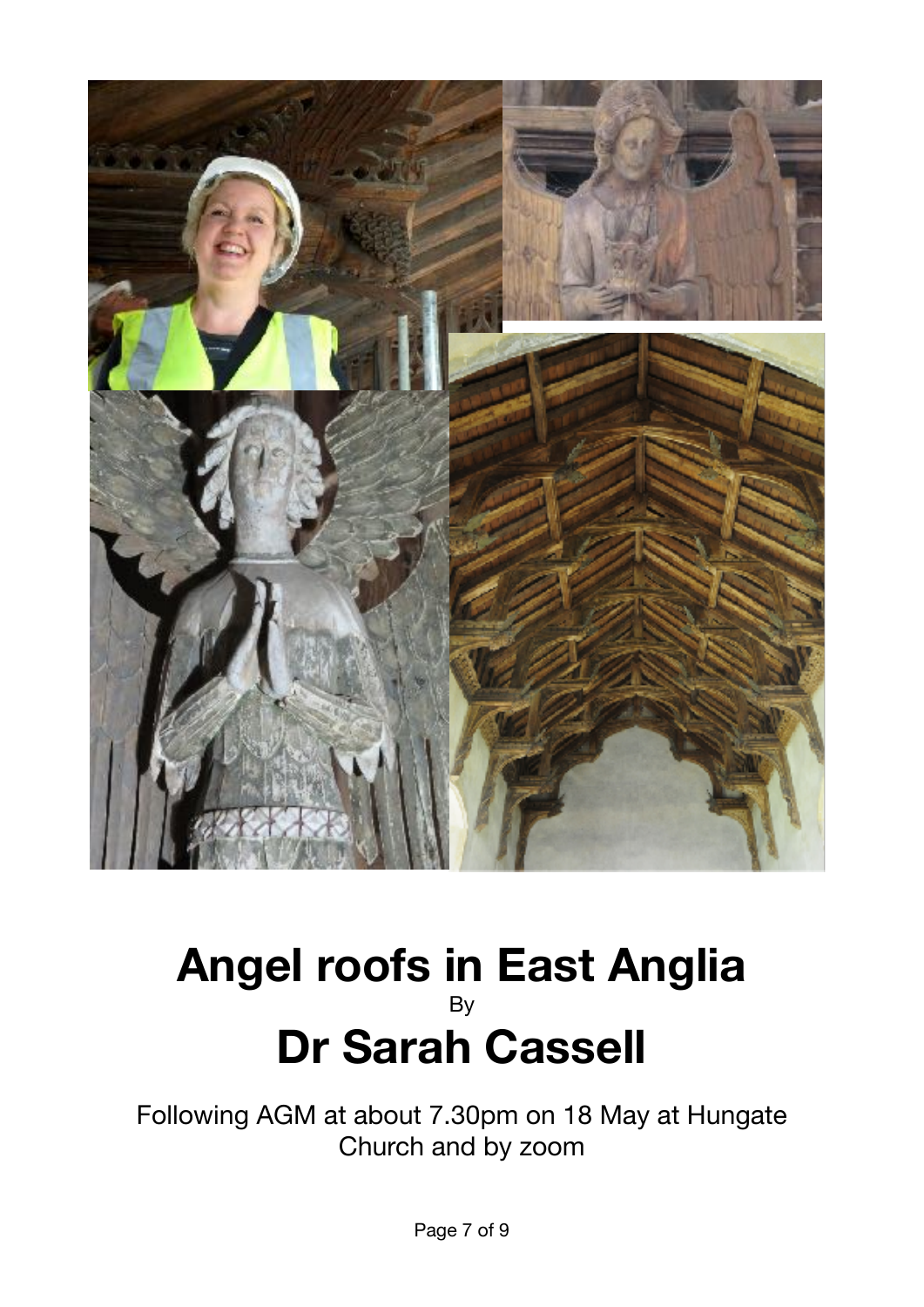

### **Angel roofs in East Anglia**  By **Dr Sarah Cassell**

Following AGM at about 7.30pm on 18 May at Hungate Church and by zoom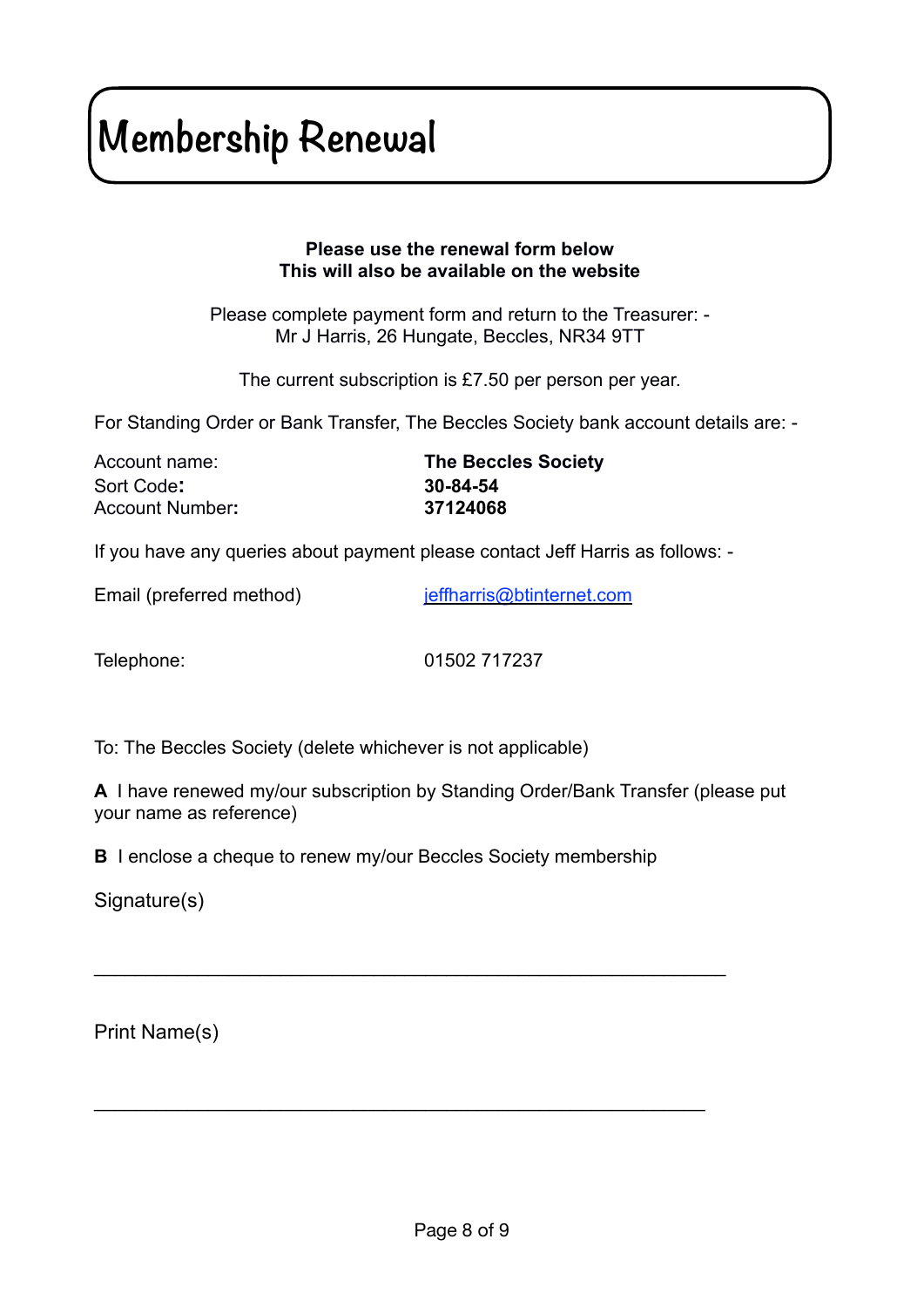# **Membership Renewal**

### **Please use the renewal form below This will also be available on the website**

Please complete payment form and return to the Treasurer: - Mr J Harris, 26 Hungate, Beccles, NR34 9TT

The current subscription is £7.50 per person per year.

For Standing Order or Bank Transfer, The Beccles Society bank account details are: -

| Account name:   | <b>The Beccles Society</b> |
|-----------------|----------------------------|
| Sort Code:      | 30-84-54                   |
| Account Number: | 37124068                   |

If you have any queries about payment please contact Jeff Harris as follows: -

Email (preferred method) ieffharris@btinternet.com

Telephone: 01502 717237

To: The Beccles Society (delete whichever is not applicable)

**A** I have renewed my/our subscription by Standing Order/Bank Transfer (please put your name as reference)

**B** I enclose a cheque to renew my/our Beccles Society membership

\_\_\_\_\_\_\_\_\_\_\_\_\_\_\_\_\_\_\_\_\_\_\_\_\_\_\_\_\_\_\_\_\_\_\_\_\_\_\_\_\_\_\_\_\_\_\_\_\_\_\_\_\_\_\_\_\_\_\_\_\_

 $\mathcal{L}_\text{max}$  and  $\mathcal{L}_\text{max}$  and  $\mathcal{L}_\text{max}$  and  $\mathcal{L}_\text{max}$  and  $\mathcal{L}_\text{max}$  and  $\mathcal{L}_\text{max}$ 

Signature(s)

Print Name(s)